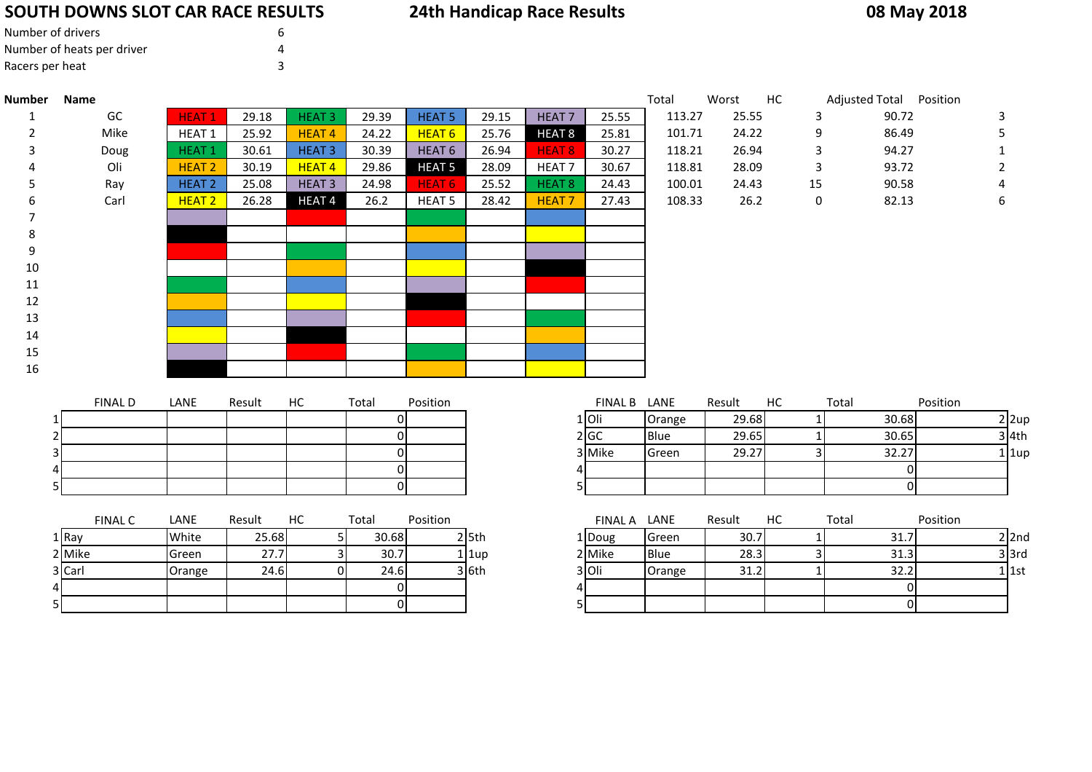# **SOUTH DOWNS SLOT CAR RACE RESULTS**

t  $\sim$  3

| Number of drivers          | h |
|----------------------------|---|
| Number of heats per driver |   |
| Racers per heat            |   |

# **24th Handicap Race Results**

# **08 May 2018**

| Number | Name                          |                   |                      |                   |              |                   |       |                   |              | Total  | Worst                | HC | Adjusted Total Position |              |
|--------|-------------------------------|-------------------|----------------------|-------------------|--------------|-------------------|-------|-------------------|--------------|--------|----------------------|----|-------------------------|--------------|
|        | GC                            | HEAT <sub>1</sub> | 29.18                | <b>HEAT3</b>      | 29.39        | <b>HEAT 5</b>     | 29.15 | HEAT <sub>7</sub> | 25.55        | 113.27 | 25.55                | 3  | 90.72                   | 3            |
| 2      | Mike                          | HEAT <sub>1</sub> | 25.92                | <b>HEAT4</b>      | 24.22        | HEAT <sub>6</sub> | 25.76 | HEAT <sub>8</sub> | 25.81        | 101.71 | 24.22                | 9  | 86.49                   | 5            |
| 3      | Doug                          | <b>HEAT1</b>      | 30.61                | <b>HEAT3</b>      | 30.39        | HEAT <sub>6</sub> | 26.94 | <b>HEAT 8</b>     | 30.27        | 118.21 | 26.94                | 3  | 94.27                   |              |
|        | Oli                           | <b>HEAT 2</b>     | 30.19                | HEAT <sub>4</sub> | 29.86        | <b>HEAT 5</b>     | 28.09 | HEAT <sub>7</sub> | 30.67        | 118.81 | 28.09                | 3  | 93.72                   |              |
| 5      | Ray                           | HEAT <sub>2</sub> | 25.08                | <b>HEAT3</b>      | 24.98        | HEAT 6            | 25.52 | <b>HEAT 8</b>     | 24.43        | 100.01 | 24.43                | 15 | 90.58                   |              |
|        | Carl                          | HEAT <sub>2</sub> | 26.28                | <b>HEAT4</b>      | 26.2         | <b>HEAT 5</b>     | 28.42 | <b>HEAT7</b>      | 27.43        | 108.33 | 26.2                 | 0  | 82.13                   | 6            |
|        |                               |                   |                      |                   |              |                   |       |                   |              |        |                      |    |                         |              |
| 8      |                               |                   |                      |                   |              |                   |       |                   |              |        |                      |    |                         |              |
| 9      |                               |                   |                      |                   |              |                   |       |                   |              |        |                      |    |                         |              |
| $10\,$ |                               |                   |                      |                   |              |                   |       |                   |              |        |                      |    |                         |              |
| 11     |                               |                   |                      |                   |              |                   |       |                   |              |        |                      |    |                         |              |
| 12     |                               |                   |                      |                   |              |                   |       |                   |              |        |                      |    |                         |              |
| 13     |                               |                   |                      |                   |              |                   |       |                   |              |        |                      |    |                         |              |
| 14     |                               |                   |                      |                   |              |                   |       |                   |              |        |                      |    |                         |              |
| 15     |                               |                   |                      |                   |              |                   |       |                   |              |        |                      |    |                         |              |
| 16     |                               |                   |                      |                   |              |                   |       |                   |              |        |                      |    |                         |              |
|        |                               |                   |                      |                   |              |                   |       |                   |              |        |                      |    |                         |              |
|        | <b>FINAL D</b>                | LANE              | Result               | HC                | Total        | Position          |       |                   | FINAL B LANE |        | Result               | HC | Total                   | Position     |
|        |                               |                   |                      |                   | ΟI           |                   |       |                   | 1 Oli        | Orange | 29.68                |    | 30.68                   | $2$ 2up      |
|        |                               |                   |                      |                   | ΟI           |                   |       |                   | 2 GC         | Blue   | 29.65                |    | 30.65                   | $3$ 4th      |
|        | з                             |                   |                      |                   | Οl           |                   |       |                   | 3 Mike       | Green  | 29.27                |    | 32.27                   | $1$   1up    |
|        |                               |                   |                      |                   | $\Omega$     |                   |       |                   |              |        |                      |    | 0                       |              |
|        |                               |                   |                      |                   | ΟI           |                   |       | 51                |              |        |                      |    | $\mathbf{0}$            |              |
|        |                               |                   |                      |                   |              |                   |       |                   |              |        |                      |    |                         |              |
|        | <b>FINAL C</b>                | LANE              | Result               | HC                | Total        | Position          |       |                   | FINAL A LANE |        | Result               | HC | Total                   | Position     |
|        | $\overline{a}$ $\overline{b}$ | .                 | $\sim$ $\sim$ $\sim$ |                   | امممم<br>- 1 | — alem            |       |                   | الماء        | $\sim$ | $\sim$ $\sim$ $\sim$ |    | $\sim$ $-1$             | $\mathbf{a}$ |

| .      | .      | .     | . | .     | ייטועט י |             |        |             | . . <b>.</b> | . | .          |
|--------|--------|-------|---|-------|----------|-------------|--------|-------------|--------------|---|------------|
| 1 Ray  | White  | 25.68 |   | 30.68 |          | $2 \, 5$ th | 1 Doug | Green       | 30.7         |   | <b>JI.</b> |
| 2 Mike | Green  | 27.7  |   | 30.7  |          | 1 1up       | 2 Mike | <b>Blue</b> | 28.3         |   | 31.3       |
| 3 Carl | Orange | 24.6  |   | 24.6  |          | 3 6th       | 3 Oli  | Orange      | 31.2         |   | 32.2       |
|        |        |       |   |       |          |             |        |             |              |   |            |
|        |        |       |   |       |          |             |        |             |              |   |            |

|    | Result | НC | Total | Position |           | <b>FINAL A</b> | LANE        | Result | HC | Total | Position |       |
|----|--------|----|-------|----------|-----------|----------------|-------------|--------|----|-------|----------|-------|
|    | 25.68  |    | 30.68 |          | $2$ 5th   | 1   Doug       | Green       | 30.7   |    | 31.7  |          | 2l2nd |
|    | 27.7   |    | 30.7  |          | $1$   1up | 2 Mike         | <b>Blue</b> | 28.3   |    | 31.3  | 3 3rd    |       |
| ge | 24.6   |    | 24.6  |          | $3$ 6th   | 3 Oli          | Orange      | 31.2   |    | 32.2  | 1   1st  |       |
|    |        |    |       |          |           |                |             |        |    |       |          |       |
|    |        |    |       |          |           |                |             |        |    |       |          |       |